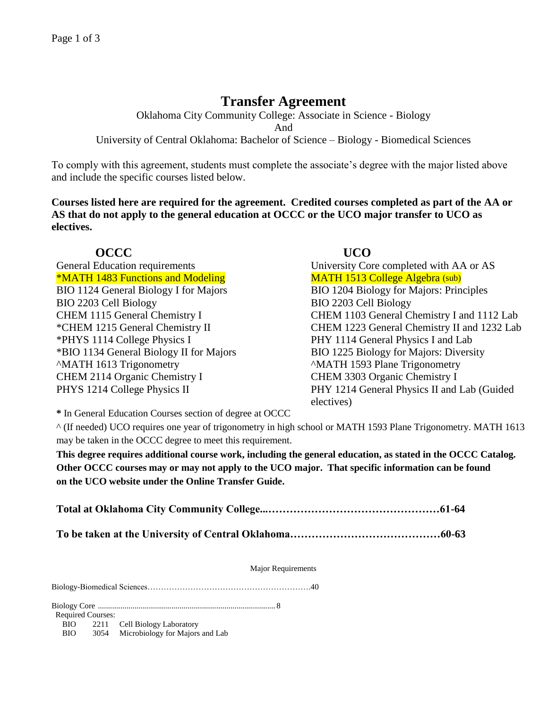# **Transfer Agreement**

Oklahoma City Community College: Associate in Science - Biology

And

University of Central Oklahoma: Bachelor of Science – Biology - Biomedical Sciences

To comply with this agreement, students must complete the associate's degree with the major listed above and include the specific courses listed below.

**Courses listed here are required for the agreement. Credited courses completed as part of the AA or AS that do not apply to the general education at OCCC or the UCO major transfer to UCO as electives.**

## **OCCC UCO**

\*MATH 1483 Functions and Modeling MATH 1513 College Algebra (sub) BIO 1124 General Biology I for Majors BIO 1204 Biology for Majors: Principles BIO 2203 Cell Biology BIO 2203 Cell Biology \*PHYS 1114 College Physics I PHY 1114 General Physics I and Lab \*BIO 1134 General Biology II for Majors BIO 1225 Biology for Majors: Diversity ^MATH 1613 Trigonometry ^MATH 1593 Plane Trigonometry CHEM 2114 Organic Chemistry I CHEM 3303 Organic Chemistry I

General Education requirements University Core completed with AA or AS CHEM 1115 General Chemistry I CHEM 1103 General Chemistry I and 1112 Lab \*CHEM 1215 General Chemistry II CHEM 1223 General Chemistry II and 1232 Lab PHYS 1214 College Physics II PHY 1214 General Physics II and Lab (Guided electives)

**\*** In General Education Courses section of degree at OCCC

^ (If needed) UCO requires one year of trigonometry in high school or MATH 1593 Plane Trigonometry. MATH 1613 may be taken in the OCCC degree to meet this requirement.

**This degree requires additional course work, including the general education, as stated in the OCCC Catalog. Other OCCC courses may or may not apply to the UCO major. That specific information can be found on the UCO website under the Online Transfer Guide.** 

**Total at Oklahoma City Community College...…………………………………………61-64**

**To be taken at the University of Central Oklahoma……………………………………60-63**

Major Requirements

Biology-Biomedical Sciences…………………………………………………….40

Biology Core ....................................................................................... 8

Required Courses:

BIO 2211 Cell Biology Laboratory

BIO 3054 Microbiology for Majors and Lab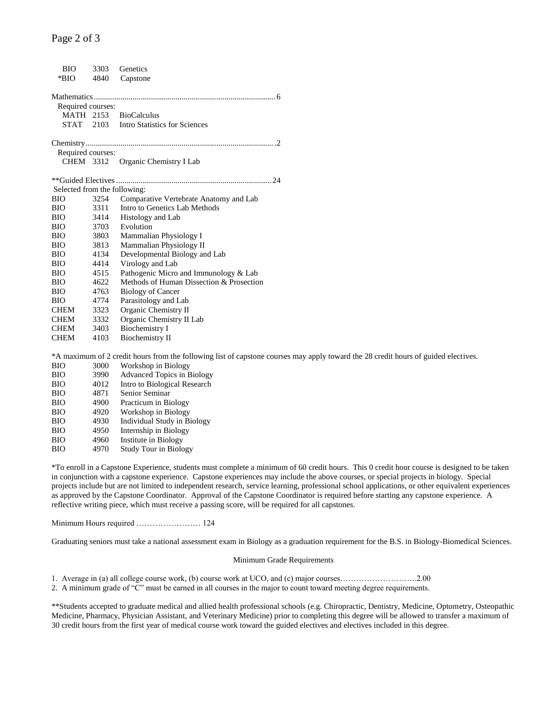| <b>BIO</b>                   | 3303 | Genetics                                                                                                                           |
|------------------------------|------|------------------------------------------------------------------------------------------------------------------------------------|
| *BIO                         | 4840 | Capstone                                                                                                                           |
|                              |      |                                                                                                                                    |
|                              |      |                                                                                                                                    |
| Required courses:            |      |                                                                                                                                    |
| <b>MATH 2153</b>             |      | <b>BioCalculus</b>                                                                                                                 |
| STAT                         | 2103 | <b>Intro Statistics for Sciences</b>                                                                                               |
|                              |      |                                                                                                                                    |
| Required courses:            |      |                                                                                                                                    |
| CHEM 3312                    |      | Organic Chemistry I Lab                                                                                                            |
|                              |      |                                                                                                                                    |
|                              |      |                                                                                                                                    |
| Selected from the following: |      |                                                                                                                                    |
| <b>BIO</b>                   | 3254 | Comparative Vertebrate Anatomy and Lab                                                                                             |
| <b>BIO</b>                   | 3311 | Intro to Genetics Lab Methods                                                                                                      |
| BIO                          | 3414 | Histology and Lab                                                                                                                  |
| BIO                          | 3703 | Evolution                                                                                                                          |
| BIO                          | 3803 | Mammalian Physiology I                                                                                                             |
| BIO                          | 3813 | Mammalian Physiology II                                                                                                            |
| BIO                          | 4134 | Developmental Biology and Lab                                                                                                      |
| BIO                          | 4414 | Virology and Lab                                                                                                                   |
| BIO                          | 4515 | Pathogenic Micro and Immunology & Lab                                                                                              |
| BIO                          | 4622 | Methods of Human Dissection & Prosection                                                                                           |
| BIO                          | 4763 | <b>Biology of Cancer</b>                                                                                                           |
| <b>BIO</b>                   | 4774 | Parasitology and Lab                                                                                                               |
| <b>CHEM</b>                  | 3323 | Organic Chemistry II                                                                                                               |
| <b>CHEM</b>                  | 3332 | Organic Chemistry II Lab                                                                                                           |
| <b>CHEM</b>                  | 3403 | <b>Biochemistry I</b>                                                                                                              |
| <b>CHEM</b>                  | 4103 | Biochemistry II                                                                                                                    |
|                              |      | *A maximum of 2 credit hours from the following list of capstone courses may apply toward the 28 credit hours of guided electives. |
| <b>BIO</b>                   | 3000 | Workshop in Biology                                                                                                                |
| BIO                          | 3990 |                                                                                                                                    |
| BIO                          | 4012 | <b>Advanced Topics in Biology</b><br>Intro to Biological Research                                                                  |
|                              |      |                                                                                                                                    |
| BIO                          | 4871 | Senior Seminar                                                                                                                     |
| BIO                          | 4900 | Practicum in Biology                                                                                                               |
| BIO                          | 4920 | Workshop in Biology                                                                                                                |
| BIO                          | 4930 | <b>Individual Study in Biology</b>                                                                                                 |
| BЮ                           | 4950 | Internship in Biology                                                                                                              |
| BIO                          | 4960 | Institute in Biology                                                                                                               |

BIO 4970 Study Tour in Biology

\*To enroll in a Capstone Experience, students must complete a minimum of 60 credit hours. This 0 credit hour course is designed to be taken in conjunction with a capstone experience. Capstone experiences may include the above courses, or special projects in biology. Special projects include but are not limited to independent research, service learning, professional school applications, or other equivalent experiences as approved by the Capstone Coordinator. Approval of the Capstone Coordinator is required before starting any capstone experience. A reflective writing piece, which must receive a passing score, will be required for all capstones.

Minimum Hours required …………………… 124

Graduating seniors must take a national assessment exam in Biology as a graduation requirement for the B.S. in Biology-Biomedical Sciences.

### Minimum Grade Requirements

1. Average in (a) all college course work, (b) course work at UCO, and (c) major courses………………………..2.00

2. A minimum grade of "C" must be earned in all courses in the major to count toward meeting degree requirements.

\*\*Students accepted to graduate medical and allied health professional schools (e.g. Chiropractic, Dentistry, Medicine, Optometry, Osteopathic Medicine, Pharmacy, Physician Assistant, and Veterinary Medicine) prior to completing this degree will be allowed to transfer a maximum of 30 credit hours from the first year of medical course work toward the guided electives and electives included in this degree.